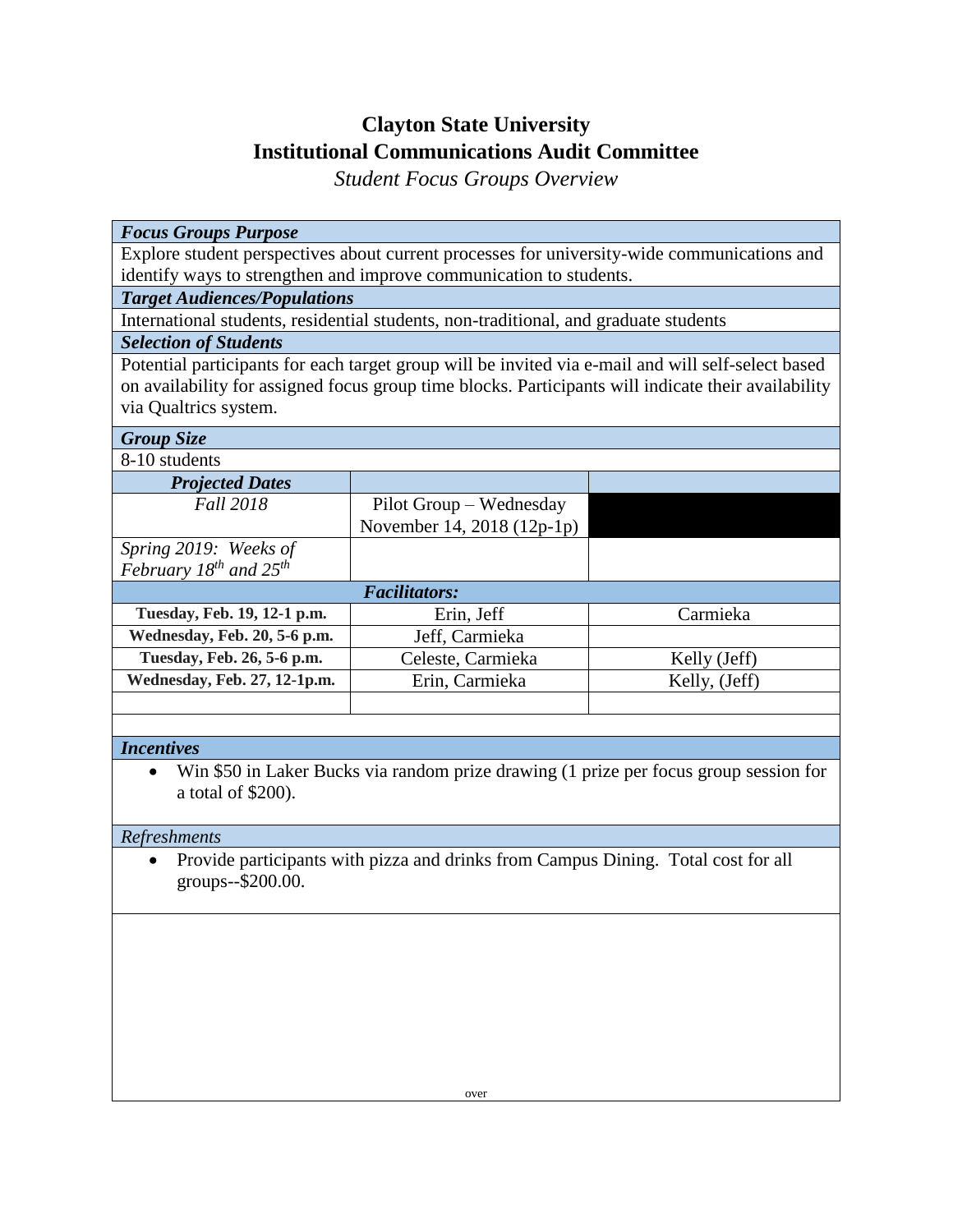# **Clayton State University Institutional Communications Audit Committee**

*Student Focus Groups Overview*

#### *Focus Groups Purpose*

Explore student perspectives about current processes for university-wide communications and identify ways to strengthen and improve communication to students.

## *Target Audiences/Populations*

International students, residential students, non-traditional, and graduate students

## *Selection of Students*

Potential participants for each target group will be invited via e-mail and will self-select based on availability for assigned focus group time blocks. Participants will indicate their availability via Qualtrics system.

#### *Group Size*

8-10 students

| <b>Projected Dates</b>           |                            |              |
|----------------------------------|----------------------------|--------------|
| <b>Fall 2018</b>                 | Pilot Group – Wednesday    |              |
|                                  | November 14, 2018 (12p-1p) |              |
| Spring 2019: Weeks of            |                            |              |
| February $18^{th}$ and $25^{th}$ |                            |              |
| <b>Facilitators:</b>             |                            |              |
| Tuesday, Feb. 19, 12-1 p.m.      | Erin, Jeff                 | Carmieka     |
| Wednesday, Feb. 20, 5-6 p.m.     | Jeff, Carmieka             |              |
| Tuesday, Feb. 26, 5-6 p.m.       | Celeste, Carmieka          | Kelly (Jeff) |

Wednesday, Feb. 27, 12-1p.m. Erin, Carmieka Kelly, (Jeff)

## *Incentives*

 Win \$50 in Laker Bucks via random prize drawing (1 prize per focus group session for a total of \$200).

## *Refreshments*

 Provide participants with pizza and drinks from Campus Dining. Total cost for all groups--\$200.00.